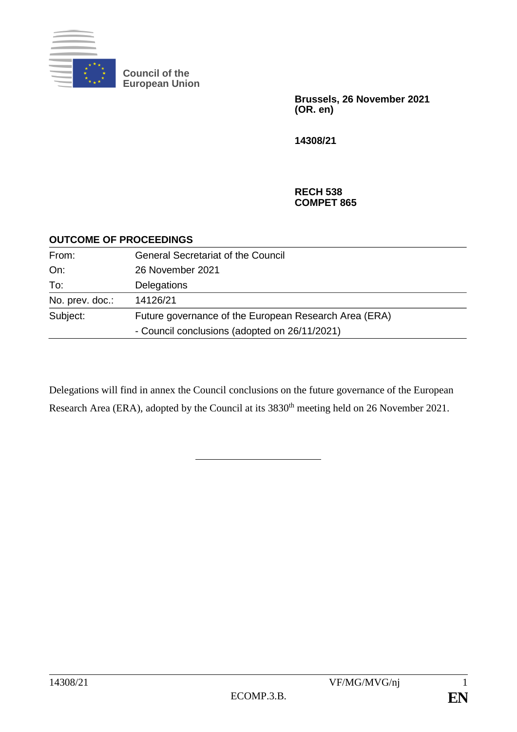

**Council of the European Union**

> **Brussels, 26 November 2021 (OR. en)**

**14308/21**

#### **RECH 538 COMPET 865**

#### **OUTCOME OF PROCEEDINGS**

| From:           | <b>General Secretariat of the Council</b>             |  |
|-----------------|-------------------------------------------------------|--|
| On:             | 26 November 2021                                      |  |
| To:             | <b>Delegations</b>                                    |  |
| No. prev. doc.: | 14126/21                                              |  |
| Subject:        | Future governance of the European Research Area (ERA) |  |
|                 | - Council conclusions (adopted on 26/11/2021)         |  |

Delegations will find in annex the Council conclusions on the future governance of the European Research Area (ERA), adopted by the Council at its 3830<sup>th</sup> meeting held on 26 November 2021.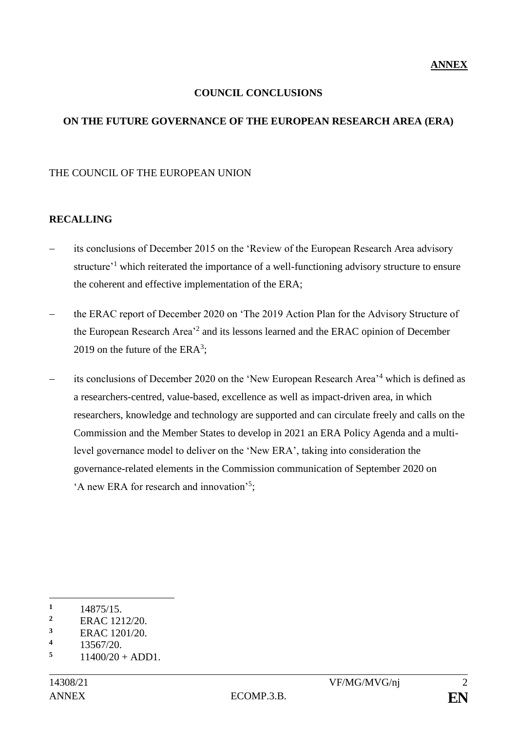#### **COUNCIL CONCLUSIONS**

#### **ON THE FUTURE GOVERNANCE OF THE EUROPEAN RESEARCH AREA (ERA)**

#### THE COUNCIL OF THE EUROPEAN UNION

#### **RECALLING**

- its conclusions of December 2015 on the 'Review of the European Research Area advisory structure<sup>-1</sup> which reiterated the importance of a well-functioning advisory structure to ensure the coherent and effective implementation of the ERA;
- the ERAC report of December 2020 on 'The 2019 Action Plan for the Advisory Structure of the European Research Area<sup>2</sup> and its lessons learned and the ERAC opinion of December 2019 on the future of the  $ERA<sup>3</sup>$ ;
- its conclusions of December 2020 on the 'New European Research Area'<sup>4</sup> which is defined as a researchers-centred, value-based, excellence as well as impact-driven area, in which researchers, knowledge and technology are supported and can circulate freely and calls on the Commission and the Member States to develop in 2021 an ERA Policy Agenda and a multilevel governance model to deliver on the 'New ERA', taking into consideration the governance-related elements in the Commission communication of September 2020 on 'A new ERA for research and innovation'<sup>5</sup>;

1

**<sup>1</sup>** 14875/15.

<sup>&</sup>lt;sup>2</sup> ERAC 1212/20.

 $\frac{3}{4}$  ERAC 1201/20.

 $\frac{4}{5}$  13567/20.

 $11400/20 + ADD1$ .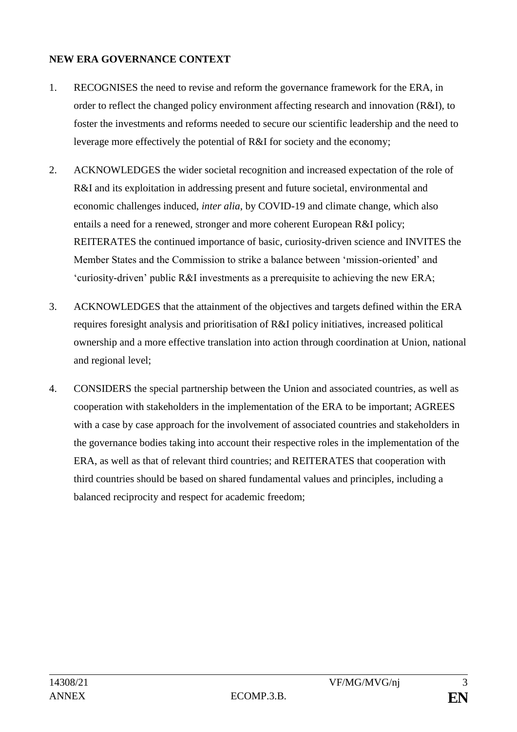#### **NEW ERA GOVERNANCE CONTEXT**

- 1. RECOGNISES the need to revise and reform the governance framework for the ERA, in order to reflect the changed policy environment affecting research and innovation (R&I), to foster the investments and reforms needed to secure our scientific leadership and the need to leverage more effectively the potential of R&I for society and the economy;
- 2. ACKNOWLEDGES the wider societal recognition and increased expectation of the role of R&I and its exploitation in addressing present and future societal, environmental and economic challenges induced, *inter alia*, by COVID-19 and climate change, which also entails a need for a renewed, stronger and more coherent European R&I policy; REITERATES the continued importance of basic, curiosity-driven science and INVITES the Member States and the Commission to strike a balance between 'mission-oriented' and 'curiosity-driven' public R&I investments as a prerequisite to achieving the new ERA;
- 3. ACKNOWLEDGES that the attainment of the objectives and targets defined within the ERA requires foresight analysis and prioritisation of R&I policy initiatives, increased political ownership and a more effective translation into action through coordination at Union, national and regional level;
- 4. CONSIDERS the special partnership between the Union and associated countries, as well as cooperation with stakeholders in the implementation of the ERA to be important; AGREES with a case by case approach for the involvement of associated countries and stakeholders in the governance bodies taking into account their respective roles in the implementation of the ERA, as well as that of relevant third countries; and REITERATES that cooperation with third countries should be based on shared fundamental values and principles, including a balanced reciprocity and respect for academic freedom;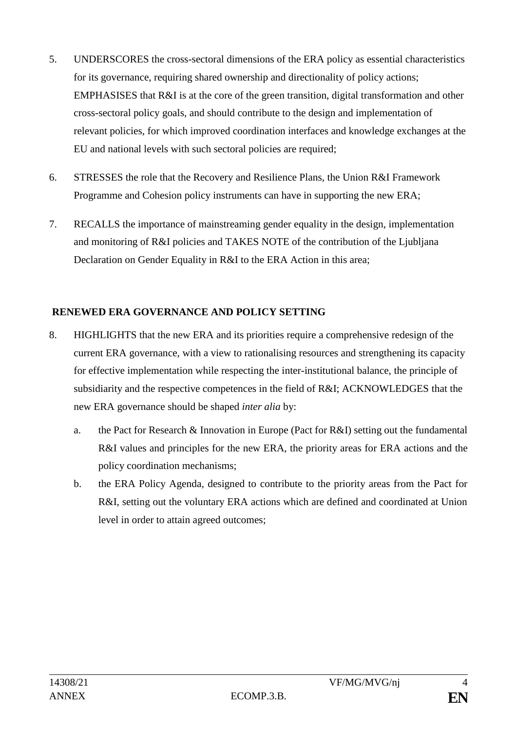- 5. UNDERSCORES the cross-sectoral dimensions of the ERA policy as essential characteristics for its governance, requiring shared ownership and directionality of policy actions; EMPHASISES that R&I is at the core of the green transition, digital transformation and other cross-sectoral policy goals, and should contribute to the design and implementation of relevant policies, for which improved coordination interfaces and knowledge exchanges at the EU and national levels with such sectoral policies are required;
- 6. STRESSES the role that the Recovery and Resilience Plans, the Union R&I Framework Programme and Cohesion policy instruments can have in supporting the new ERA;
- 7. RECALLS the importance of mainstreaming gender equality in the design, implementation and monitoring of R&I policies and TAKES NOTE of the contribution of the Ljubljana Declaration on Gender Equality in R&I to the ERA Action in this area;

#### **RENEWED ERA GOVERNANCE AND POLICY SETTING**

- 8. HIGHLIGHTS that the new ERA and its priorities require a comprehensive redesign of the current ERA governance, with a view to rationalising resources and strengthening its capacity for effective implementation while respecting the inter-institutional balance, the principle of subsidiarity and the respective competences in the field of R&I; ACKNOWLEDGES that the new ERA governance should be shaped *inter alia* by:
	- a. the Pact for Research & Innovation in Europe (Pact for R&I) setting out the fundamental R&I values and principles for the new ERA, the priority areas for ERA actions and the policy coordination mechanisms;
	- b. the ERA Policy Agenda, designed to contribute to the priority areas from the Pact for R&I, setting out the voluntary ERA actions which are defined and coordinated at Union level in order to attain agreed outcomes;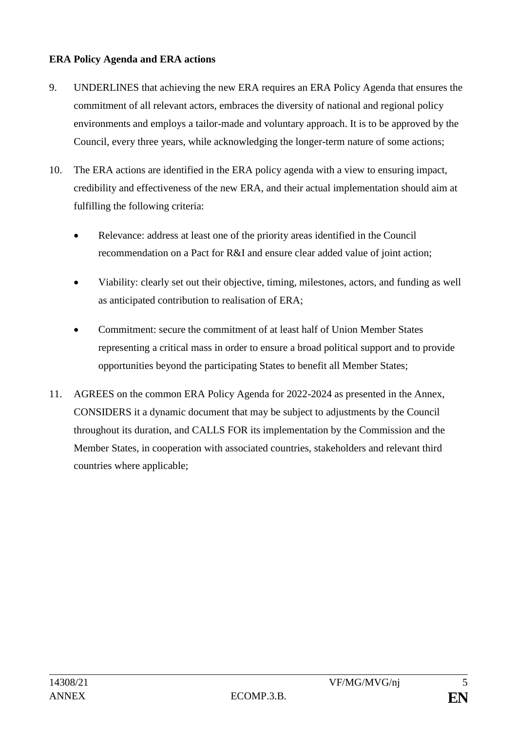#### **ERA Policy Agenda and ERA actions**

- 9. UNDERLINES that achieving the new ERA requires an ERA Policy Agenda that ensures the commitment of all relevant actors, embraces the diversity of national and regional policy environments and employs a tailor-made and voluntary approach. It is to be approved by the Council, every three years, while acknowledging the longer-term nature of some actions;
- 10. The ERA actions are identified in the ERA policy agenda with a view to ensuring impact, credibility and effectiveness of the new ERA, and their actual implementation should aim at fulfilling the following criteria:
	- Relevance: address at least one of the priority areas identified in the Council recommendation on a Pact for R&I and ensure clear added value of joint action;
	- Viability: clearly set out their objective, timing, milestones, actors, and funding as well as anticipated contribution to realisation of ERA;
	- Commitment: secure the commitment of at least half of Union Member States representing a critical mass in order to ensure a broad political support and to provide opportunities beyond the participating States to benefit all Member States;
- 11. AGREES on the common ERA Policy Agenda for 2022-2024 as presented in the Annex, CONSIDERS it a dynamic document that may be subject to adjustments by the Council throughout its duration, and CALLS FOR its implementation by the Commission and the Member States, in cooperation with associated countries, stakeholders and relevant third countries where applicable;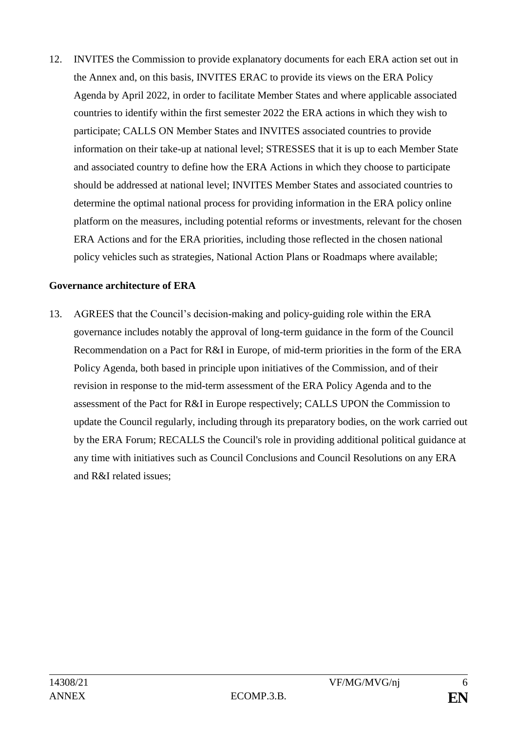12. INVITES the Commission to provide explanatory documents for each ERA action set out in the Annex and, on this basis, INVITES ERAC to provide its views on the ERA Policy Agenda by April 2022, in order to facilitate Member States and where applicable associated countries to identify within the first semester 2022 the ERA actions in which they wish to participate; CALLS ON Member States and INVITES associated countries to provide information on their take-up at national level; STRESSES that it is up to each Member State and associated country to define how the ERA Actions in which they choose to participate should be addressed at national level; INVITES Member States and associated countries to determine the optimal national process for providing information in the ERA policy online platform on the measures, including potential reforms or investments, relevant for the chosen ERA Actions and for the ERA priorities, including those reflected in the chosen national policy vehicles such as strategies, National Action Plans or Roadmaps where available;

#### **Governance architecture of ERA**

13. AGREES that the Council's decision-making and policy-guiding role within the ERA governance includes notably the approval of long-term guidance in the form of the Council Recommendation on a Pact for R&I in Europe, of mid-term priorities in the form of the ERA Policy Agenda, both based in principle upon initiatives of the Commission, and of their revision in response to the mid-term assessment of the ERA Policy Agenda and to the assessment of the Pact for R&I in Europe respectively; CALLS UPON the Commission to update the Council regularly, including through its preparatory bodies, on the work carried out by the ERA Forum; RECALLS the Council's role in providing additional political guidance at any time with initiatives such as Council Conclusions and Council Resolutions on any ERA and R&I related issues;

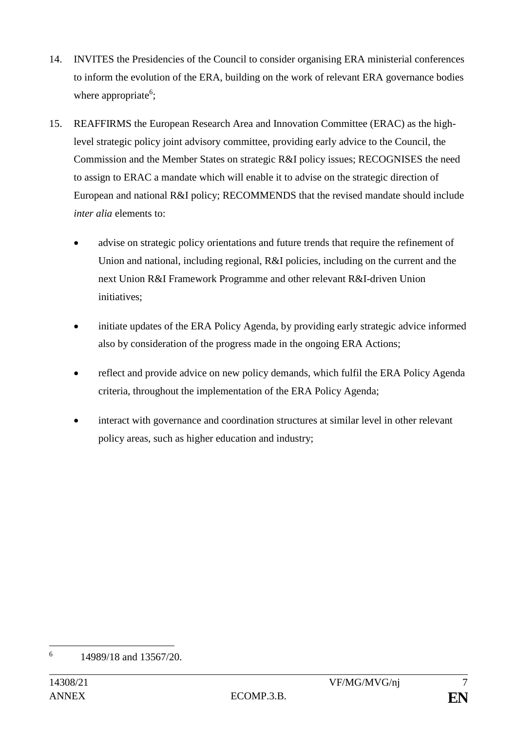- 14. INVITES the Presidencies of the Council to consider organising ERA ministerial conferences to inform the evolution of the ERA, building on the work of relevant ERA governance bodies where appropriate<sup>6</sup>;
- 15. REAFFIRMS the European Research Area and Innovation Committee (ERAC) as the highlevel strategic policy joint advisory committee, providing early advice to the Council, the Commission and the Member States on strategic R&I policy issues; RECOGNISES the need to assign to ERAC a mandate which will enable it to advise on the strategic direction of European and national R&I policy; RECOMMENDS that the revised mandate should include *inter alia* elements to:
	- advise on strategic policy orientations and future trends that require the refinement of Union and national, including regional, R&I policies, including on the current and the next Union R&I Framework Programme and other relevant R&I-driven Union initiatives;
	- initiate updates of the ERA Policy Agenda, by providing early strategic advice informed also by consideration of the progress made in the ongoing ERA Actions;
	- reflect and provide advice on new policy demands, which fulfil the ERA Policy Agenda criteria, throughout the implementation of the ERA Policy Agenda;
	- interact with governance and coordination structures at similar level in other relevant policy areas, such as higher education and industry;

<sup>&</sup>lt;u>.</u> 6 14989/18 and 13567/20.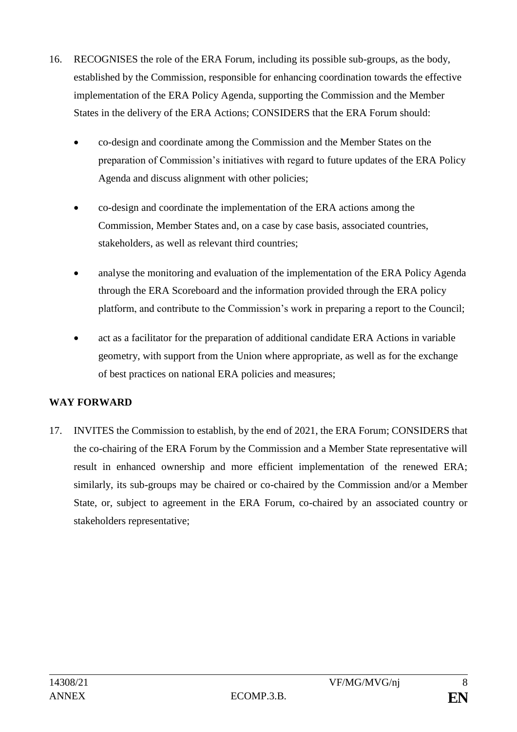- 16. RECOGNISES the role of the ERA Forum, including its possible sub-groups, as the body, established by the Commission, responsible for enhancing coordination towards the effective implementation of the ERA Policy Agenda, supporting the Commission and the Member States in the delivery of the ERA Actions; CONSIDERS that the ERA Forum should:
	- co-design and coordinate among the Commission and the Member States on the preparation of Commission's initiatives with regard to future updates of the ERA Policy Agenda and discuss alignment with other policies;
	- co-design and coordinate the implementation of the ERA actions among the Commission, Member States and, on a case by case basis, associated countries, stakeholders, as well as relevant third countries;
	- analyse the monitoring and evaluation of the implementation of the ERA Policy Agenda through the ERA Scoreboard and the information provided through the ERA policy platform, and contribute to the Commission's work in preparing a report to the Council;
	- act as a facilitator for the preparation of additional candidate ERA Actions in variable geometry, with support from the Union where appropriate, as well as for the exchange of best practices on national ERA policies and measures;

### **WAY FORWARD**

17. INVITES the Commission to establish, by the end of 2021, the ERA Forum; CONSIDERS that the co-chairing of the ERA Forum by the Commission and a Member State representative will result in enhanced ownership and more efficient implementation of the renewed ERA; similarly, its sub-groups may be chaired or co-chaired by the Commission and/or a Member State, or, subject to agreement in the ERA Forum, co-chaired by an associated country or stakeholders representative;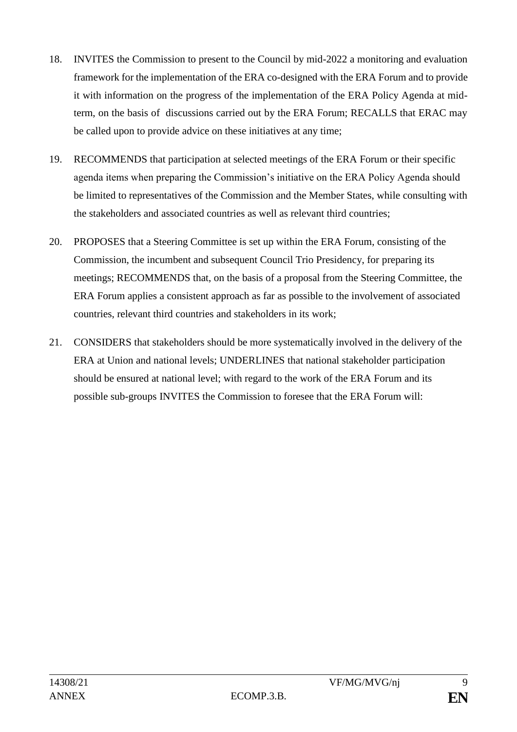- 18. INVITES the Commission to present to the Council by mid-2022 a monitoring and evaluation framework for the implementation of the ERA co-designed with the ERA Forum and to provide it with information on the progress of the implementation of the ERA Policy Agenda at midterm, on the basis of discussions carried out by the ERA Forum; RECALLS that ERAC may be called upon to provide advice on these initiatives at any time;
- 19. RECOMMENDS that participation at selected meetings of the ERA Forum or their specific agenda items when preparing the Commission's initiative on the ERA Policy Agenda should be limited to representatives of the Commission and the Member States, while consulting with the stakeholders and associated countries as well as relevant third countries;
- 20. PROPOSES that a Steering Committee is set up within the ERA Forum, consisting of the Commission, the incumbent and subsequent Council Trio Presidency, for preparing its meetings; RECOMMENDS that, on the basis of a proposal from the Steering Committee, the ERA Forum applies a consistent approach as far as possible to the involvement of associated countries, relevant third countries and stakeholders in its work;
- 21. CONSIDERS that stakeholders should be more systematically involved in the delivery of the ERA at Union and national levels; UNDERLINES that national stakeholder participation should be ensured at national level; with regard to the work of the ERA Forum and its possible sub-groups INVITES the Commission to foresee that the ERA Forum will: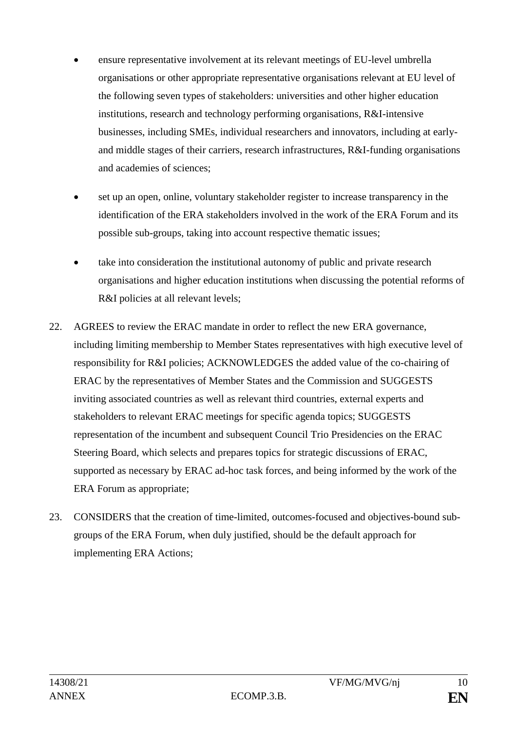- ensure representative involvement at its relevant meetings of EU-level umbrella organisations or other appropriate representative organisations relevant at EU level of the following seven types of stakeholders: universities and other higher education institutions, research and technology performing organisations, R&I-intensive businesses, including SMEs, individual researchers and innovators, including at earlyand middle stages of their carriers, research infrastructures, R&I-funding organisations and academies of sciences;
- set up an open, online, voluntary stakeholder register to increase transparency in the identification of the ERA stakeholders involved in the work of the ERA Forum and its possible sub-groups, taking into account respective thematic issues;
- take into consideration the institutional autonomy of public and private research organisations and higher education institutions when discussing the potential reforms of R&I policies at all relevant levels;
- 22. AGREES to review the ERAC mandate in order to reflect the new ERA governance, including limiting membership to Member States representatives with high executive level of responsibility for R&I policies; ACKNOWLEDGES the added value of the co-chairing of ERAC by the representatives of Member States and the Commission and SUGGESTS inviting associated countries as well as relevant third countries, external experts and stakeholders to relevant ERAC meetings for specific agenda topics; SUGGESTS representation of the incumbent and subsequent Council Trio Presidencies on the ERAC Steering Board, which selects and prepares topics for strategic discussions of ERAC, supported as necessary by ERAC ad-hoc task forces, and being informed by the work of the ERA Forum as appropriate;
- 23. CONSIDERS that the creation of time-limited, outcomes-focused and objectives-bound subgroups of the ERA Forum, when duly justified, should be the default approach for implementing ERA Actions;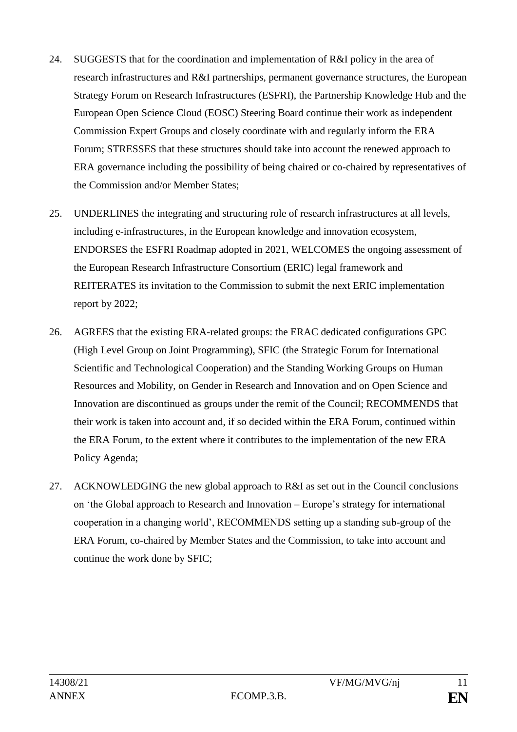- 24. SUGGESTS that for the coordination and implementation of R&I policy in the area of research infrastructures and R&I partnerships, permanent governance structures, the European Strategy Forum on Research Infrastructures (ESFRI), the Partnership Knowledge Hub and the European Open Science Cloud (EOSC) Steering Board continue their work as independent Commission Expert Groups and closely coordinate with and regularly inform the ERA Forum; STRESSES that these structures should take into account the renewed approach to ERA governance including the possibility of being chaired or co-chaired by representatives of the Commission and/or Member States;
- 25. UNDERLINES the integrating and structuring role of research infrastructures at all levels, including e-infrastructures, in the European knowledge and innovation ecosystem, ENDORSES the ESFRI Roadmap adopted in 2021, WELCOMES the ongoing assessment of the European Research Infrastructure Consortium (ERIC) legal framework and REITERATES its invitation to the Commission to submit the next ERIC implementation report by 2022;
- 26. AGREES that the existing ERA-related groups: the ERAC dedicated configurations GPC (High Level Group on Joint Programming), SFIC (the Strategic Forum for International Scientific and Technological Cooperation) and the Standing Working Groups on Human Resources and Mobility, on Gender in Research and Innovation and on Open Science and Innovation are discontinued as groups under the remit of the Council; RECOMMENDS that their work is taken into account and, if so decided within the ERA Forum, continued within the ERA Forum, to the extent where it contributes to the implementation of the new ERA Policy Agenda;
- 27. ACKNOWLEDGING the new global approach to R&I as set out in the Council conclusions on 'the Global approach to Research and Innovation – Europe's strategy for international cooperation in a changing world', RECOMMENDS setting up a standing sub-group of the ERA Forum, co-chaired by Member States and the Commission, to take into account and continue the work done by SFIC;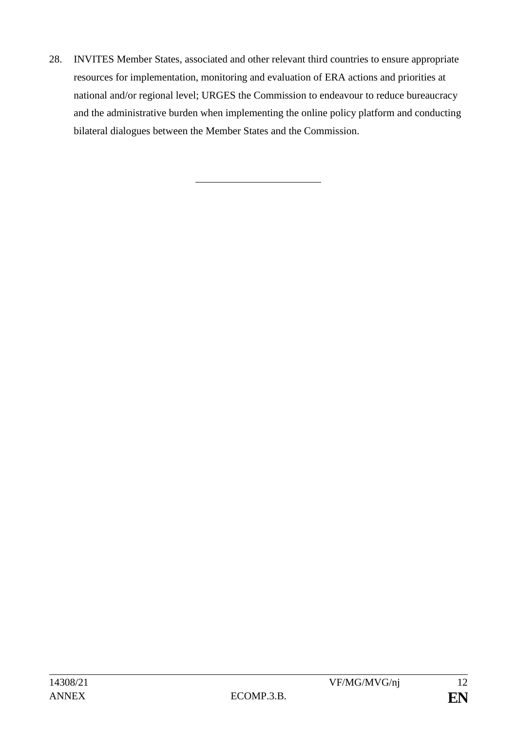28. INVITES Member States, associated and other relevant third countries to ensure appropriate resources for implementation, monitoring and evaluation of ERA actions and priorities at national and/or regional level; URGES the Commission to endeavour to reduce bureaucracy and the administrative burden when implementing the online policy platform and conducting bilateral dialogues between the Member States and the Commission.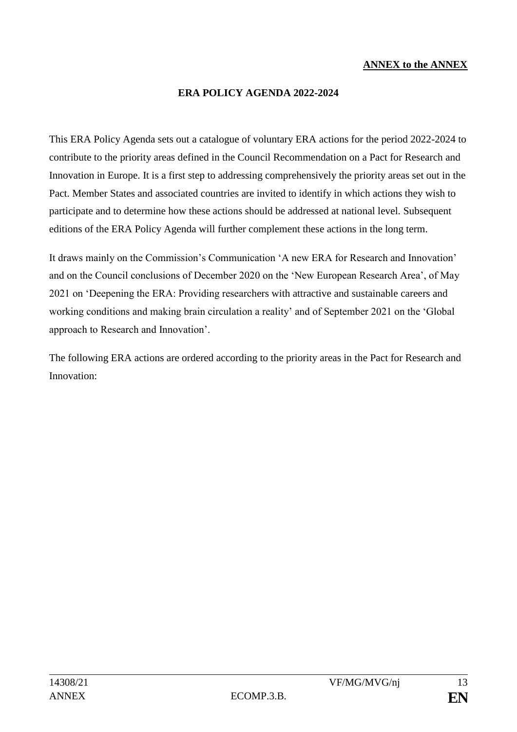#### **ANNEX to the ANNEX**

#### **ERA POLICY AGENDA 2022-2024**

This ERA Policy Agenda sets out a catalogue of voluntary ERA actions for the period 2022-2024 to contribute to the priority areas defined in the Council Recommendation on a Pact for Research and Innovation in Europe. It is a first step to addressing comprehensively the priority areas set out in the Pact. Member States and associated countries are invited to identify in which actions they wish to participate and to determine how these actions should be addressed at national level. Subsequent editions of the ERA Policy Agenda will further complement these actions in the long term.

It draws mainly on the Commission's Communication 'A new ERA for Research and Innovation' and on the Council conclusions of December 2020 on the 'New European Research Area', of May 2021 on 'Deepening the ERA: Providing researchers with attractive and sustainable careers and working conditions and making brain circulation a reality' and of September 2021 on the 'Global approach to Research and Innovation'.

The following ERA actions are ordered according to the priority areas in the Pact for Research and Innovation: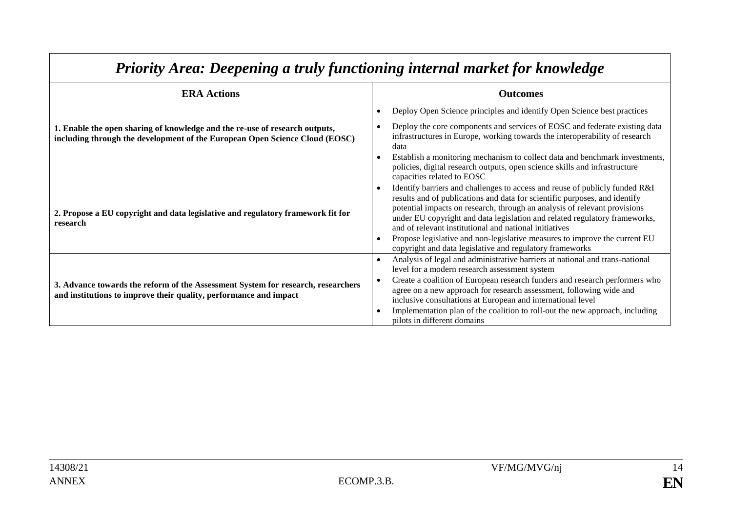| <b>ERA Actions</b>                                                                                                                                         | <b>Outcomes</b>                                                                                                                                                                                                                                                                                                                                                                                                                                                                                                          |  |
|------------------------------------------------------------------------------------------------------------------------------------------------------------|--------------------------------------------------------------------------------------------------------------------------------------------------------------------------------------------------------------------------------------------------------------------------------------------------------------------------------------------------------------------------------------------------------------------------------------------------------------------------------------------------------------------------|--|
|                                                                                                                                                            | Deploy Open Science principles and identify Open Science best practices<br>$\bullet$                                                                                                                                                                                                                                                                                                                                                                                                                                     |  |
| 1. Enable the open sharing of knowledge and the re-use of research outputs,<br>including through the development of the European Open Science Cloud (EOSC) | Deploy the core components and services of EOSC and federate existing data<br>infrastructures in Europe, working towards the interoperability of research<br>data<br>Establish a monitoring mechanism to collect data and benchmark investments,                                                                                                                                                                                                                                                                         |  |
|                                                                                                                                                            | policies, digital research outputs, open science skills and infrastructure<br>capacities related to EOSC                                                                                                                                                                                                                                                                                                                                                                                                                 |  |
| 2. Propose a EU copyright and data legislative and regulatory framework fit for<br>research                                                                | Identify barriers and challenges to access and reuse of publicly funded R&I<br>results and of publications and data for scientific purposes, and identify<br>potential impacts on research, through an analysis of relevant provisions<br>under EU copyright and data legislation and related regulatory frameworks,<br>and of relevant institutional and national initiatives<br>Propose legislative and non-legislative measures to improve the current EU<br>copyright and data legislative and regulatory frameworks |  |
| 3. Advance towards the reform of the Assessment System for research, researchers<br>and institutions to improve their quality, performance and impact      | Analysis of legal and administrative barriers at national and trans-national<br>level for a modern research assessment system<br>Create a coalition of European research funders and research performers who<br>agree on a new approach for research assessment, following wide and<br>inclusive consultations at European and international level<br>Implementation plan of the coalition to roll-out the new approach, including<br>pilots in different domains                                                        |  |

# *Priority Area: Deepening a truly functioning internal market for knowledge*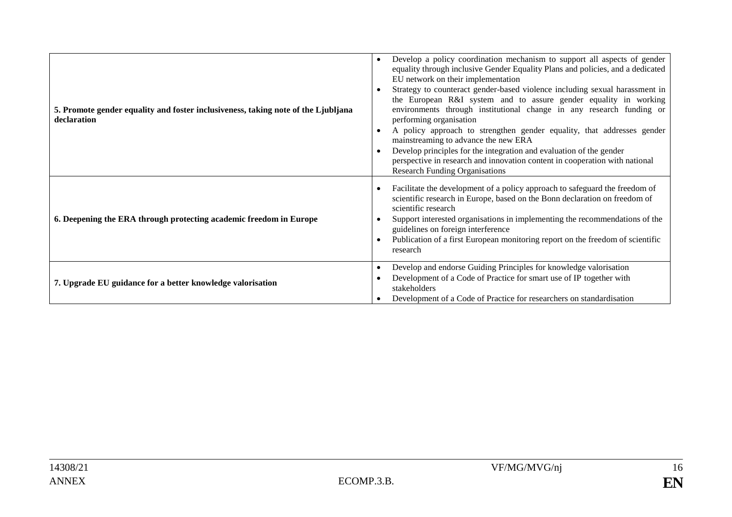| 5. Promote gender equality and foster inclusiveness, taking note of the Ljubljana<br>declaration | Develop a policy coordination mechanism to support all aspects of gender<br>equality through inclusive Gender Equality Plans and policies, and a dedicated<br>EU network on their implementation<br>Strategy to counteract gender-based violence including sexual harassment in<br>the European R&I system and to assure gender equality in working<br>environments through institutional change in any research funding or<br>performing organisation<br>A policy approach to strengthen gender equality, that addresses gender<br>mainstreaming to advance the new ERA<br>Develop principles for the integration and evaluation of the gender<br>perspective in research and innovation content in cooperation with national<br><b>Research Funding Organisations</b> |
|--------------------------------------------------------------------------------------------------|-------------------------------------------------------------------------------------------------------------------------------------------------------------------------------------------------------------------------------------------------------------------------------------------------------------------------------------------------------------------------------------------------------------------------------------------------------------------------------------------------------------------------------------------------------------------------------------------------------------------------------------------------------------------------------------------------------------------------------------------------------------------------|
| 6. Deepening the ERA through protecting academic freedom in Europe                               | Facilitate the development of a policy approach to safeguard the freedom of<br>scientific research in Europe, based on the Bonn declaration on freedom of<br>scientific research<br>Support interested organisations in implementing the recommendations of the<br>guidelines on foreign interference<br>Publication of a first European monitoring report on the freedom of scientific<br>research                                                                                                                                                                                                                                                                                                                                                                     |
| 7. Upgrade EU guidance for a better knowledge valorisation                                       | Develop and endorse Guiding Principles for knowledge valorisation<br>$\bullet$<br>Development of a Code of Practice for smart use of IP together with<br>stakeholders<br>Development of a Code of Practice for researchers on standardisation                                                                                                                                                                                                                                                                                                                                                                                                                                                                                                                           |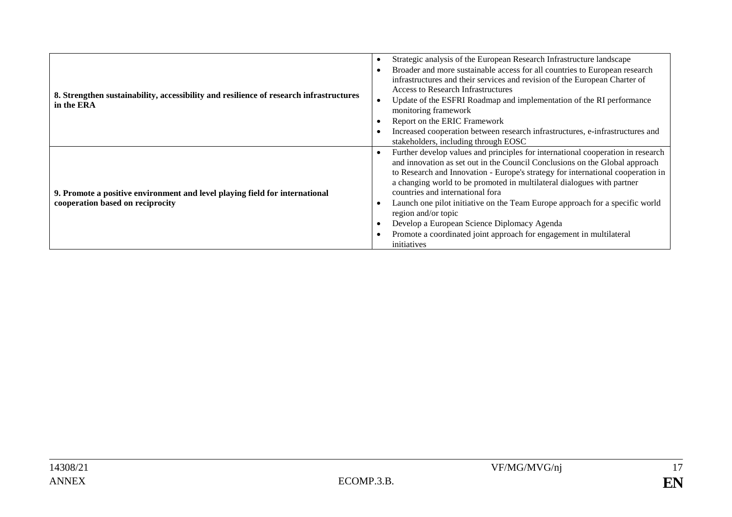| 8. Strengthen sustainability, accessibility and resilience of research infrastructures<br>in the ERA            | Strategic analysis of the European Research Infrastructure landscape<br>Broader and more sustainable access for all countries to European research<br>$\bullet$<br>infrastructures and their services and revision of the European Charter of<br><b>Access to Research Infrastructures</b><br>Update of the ESFRI Roadmap and implementation of the RI performance<br>monitoring framework<br>Report on the ERIC Framework<br>Increased cooperation between research infrastructures, e-infrastructures and<br>stakeholders, including through EOSC                                                                                     |
|-----------------------------------------------------------------------------------------------------------------|-----------------------------------------------------------------------------------------------------------------------------------------------------------------------------------------------------------------------------------------------------------------------------------------------------------------------------------------------------------------------------------------------------------------------------------------------------------------------------------------------------------------------------------------------------------------------------------------------------------------------------------------|
| 9. Promote a positive environment and level playing field for international<br>cooperation based on reciprocity | Further develop values and principles for international cooperation in research<br>٠<br>and innovation as set out in the Council Conclusions on the Global approach<br>to Research and Innovation - Europe's strategy for international cooperation in<br>a changing world to be promoted in multilateral dialogues with partner<br>countries and international fora<br>Launch one pilot initiative on the Team Europe approach for a specific world<br>٠<br>region and/or topic<br>Develop a European Science Diplomacy Agenda<br>$\bullet$<br>Promote a coordinated joint approach for engagement in multilateral<br>٠<br>initiatives |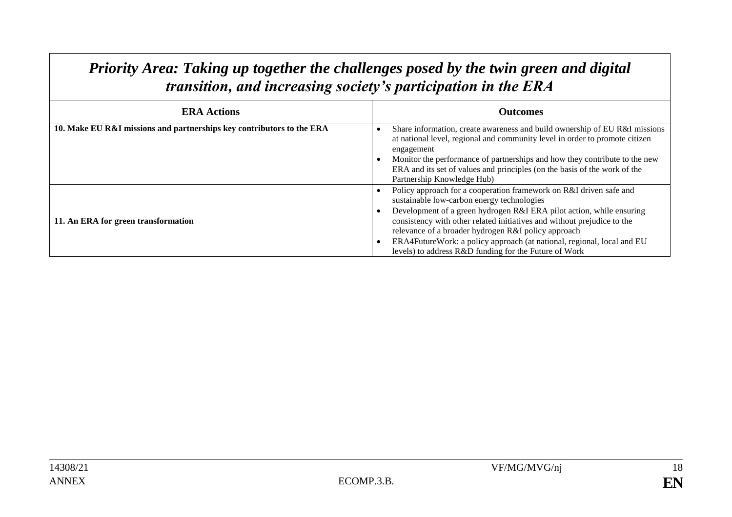### *Priority Area: Taking up together the challenges posed by the twin green and digital transition, and increasing society's participation in the ERA*

| <b>ERA Actions</b>                                                    | <b>Outcomes</b>                                                                                                                                                                                                                                                                                                                                                                                                                                               |
|-----------------------------------------------------------------------|---------------------------------------------------------------------------------------------------------------------------------------------------------------------------------------------------------------------------------------------------------------------------------------------------------------------------------------------------------------------------------------------------------------------------------------------------------------|
| 10. Make EU R&I missions and partnerships key contributors to the ERA | Share information, create awareness and build ownership of EU R&I missions<br>at national level, regional and community level in order to promote citizen<br>engagement<br>Monitor the performance of partnerships and how they contribute to the new<br>ERA and its set of values and principles (on the basis of the work of the<br>Partnership Knowledge Hub)                                                                                              |
| 11. An ERA for green transformation                                   | Policy approach for a cooperation framework on R&I driven safe and<br>sustainable low-carbon energy technologies<br>Development of a green hydrogen R&I ERA pilot action, while ensuring<br>consistency with other related initiatives and without prejudice to the<br>relevance of a broader hydrogen R&I policy approach<br>ERA4FutureWork: a policy approach (at national, regional, local and EU<br>levels) to address R&D funding for the Future of Work |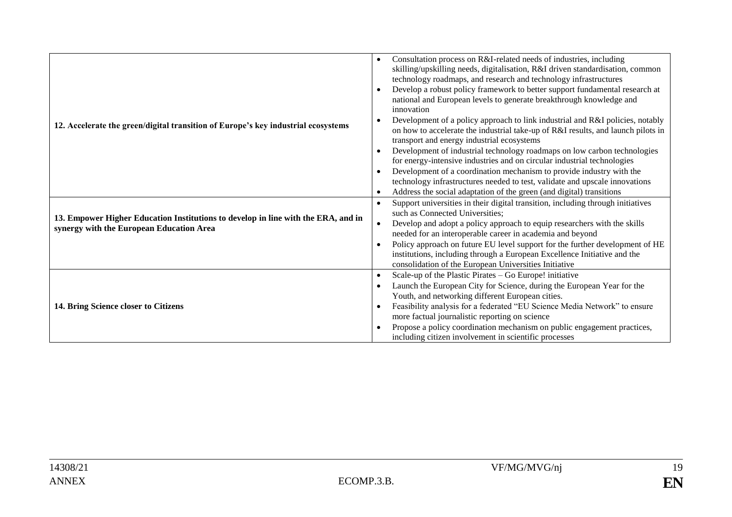| 12. Accelerate the green/digital transition of Europe's key industrial ecosystems                                             | Consultation process on R&I-related needs of industries, including<br>skilling/upskilling needs, digitalisation, R&I driven standardisation, common<br>technology roadmaps, and research and technology infrastructures<br>Develop a robust policy framework to better support fundamental research at<br>national and European levels to generate breakthrough knowledge and<br>innovation<br>Development of a policy approach to link industrial and R&I policies, notably<br>on how to accelerate the industrial take-up of R&I results, and launch pilots in<br>transport and energy industrial ecosystems<br>Development of industrial technology roadmaps on low carbon technologies<br>$\bullet$<br>for energy-intensive industries and on circular industrial technologies<br>Development of a coordination mechanism to provide industry with the<br>technology infrastructures needed to test, validate and upscale innovations<br>Address the social adaptation of the green (and digital) transitions |
|-------------------------------------------------------------------------------------------------------------------------------|-------------------------------------------------------------------------------------------------------------------------------------------------------------------------------------------------------------------------------------------------------------------------------------------------------------------------------------------------------------------------------------------------------------------------------------------------------------------------------------------------------------------------------------------------------------------------------------------------------------------------------------------------------------------------------------------------------------------------------------------------------------------------------------------------------------------------------------------------------------------------------------------------------------------------------------------------------------------------------------------------------------------|
| 13. Empower Higher Education Institutions to develop in line with the ERA, and in<br>synergy with the European Education Area | Support universities in their digital transition, including through initiatives<br>$\bullet$<br>such as Connected Universities;<br>Develop and adopt a policy approach to equip researchers with the skills<br>needed for an interoperable career in academia and beyond<br>Policy approach on future EU level support for the further development of HE<br>institutions, including through a European Excellence Initiative and the<br>consolidation of the European Universities Initiative                                                                                                                                                                                                                                                                                                                                                                                                                                                                                                                     |
| 14. Bring Science closer to Citizens                                                                                          | Scale-up of the Plastic Pirates – Go Europe! initiative<br>$\bullet$<br>Launch the European City for Science, during the European Year for the<br>$\bullet$<br>Youth, and networking different European cities.<br>Feasibility analysis for a federated "EU Science Media Network" to ensure<br>$\bullet$<br>more factual journalistic reporting on science<br>Propose a policy coordination mechanism on public engagement practices,<br>including citizen involvement in scientific processes                                                                                                                                                                                                                                                                                                                                                                                                                                                                                                                   |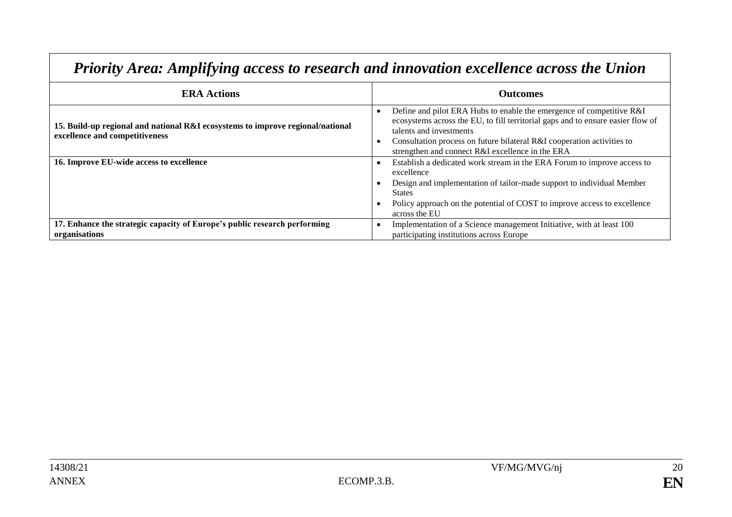| <b>ERA Actions</b>                                                                                               | <b>Outcomes</b>                                                                                                                                                                                                                                                                                                  |
|------------------------------------------------------------------------------------------------------------------|------------------------------------------------------------------------------------------------------------------------------------------------------------------------------------------------------------------------------------------------------------------------------------------------------------------|
| 15. Build-up regional and national R&I ecosystems to improve regional/national<br>excellence and competitiveness | Define and pilot ERA Hubs to enable the emergence of competitive R&I<br>ecosystems across the EU, to fill territorial gaps and to ensure easier flow of<br>talents and investments<br>Consultation process on future bilateral R&I cooperation activities to<br>strengthen and connect R&I excellence in the ERA |
| 16. Improve EU-wide access to excellence                                                                         | Establish a dedicated work stream in the ERA Forum to improve access to<br>excellence<br>Design and implementation of tailor-made support to individual Member<br><b>States</b><br>Policy approach on the potential of COST to improve access to excellence<br>across the EU                                     |
| 17. Enhance the strategic capacity of Europe's public research performing<br>organisations                       | Implementation of a Science management Initiative, with at least 100<br>participating institutions across Europe                                                                                                                                                                                                 |

### *Priority Area: Amplifying access to research and innovation excellence across the Union*